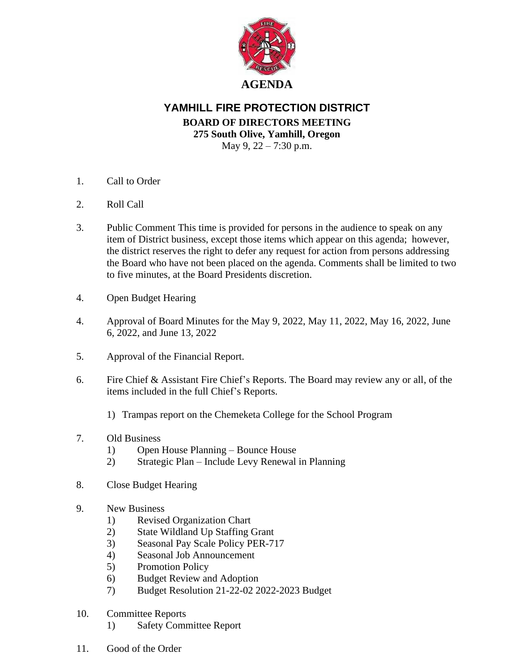

## **YAMHILL FIRE PROTECTION DISTRICT BOARD OF DIRECTORS MEETING 275 South Olive, Yamhill, Oregon** May 9, 22 – 7:30 p.m.

- 1. Call to Order
- 2. Roll Call
- 3. Public Comment This time is provided for persons in the audience to speak on any item of District business, except those items which appear on this agenda; however, the district reserves the right to defer any request for action from persons addressing the Board who have not been placed on the agenda. Comments shall be limited to two to five minutes, at the Board Presidents discretion.
- 4. Open Budget Hearing
- 4. Approval of Board Minutes for the May 9, 2022, May 11, 2022, May 16, 2022, June 6, 2022, and June 13, 2022
- 5. Approval of the Financial Report.
- 6. Fire Chief & Assistant Fire Chief's Reports. The Board may review any or all, of the items included in the full Chief's Reports.
	- 1) Trampas report on the Chemeketa College for the School Program
- 7. Old Business
	- 1) Open House Planning Bounce House
	- 2) Strategic Plan Include Levy Renewal in Planning
- 8. Close Budget Hearing
- 9. New Business
	- 1) Revised Organization Chart
	- 2) State Wildland Up Staffing Grant
	- 3) Seasonal Pay Scale Policy PER-717
	- 4) Seasonal Job Announcement
	- 5) Promotion Policy
	- 6) Budget Review and Adoption
	- 7) Budget Resolution 21-22-02 2022-2023 Budget
- 10. Committee Reports
	- 1) Safety Committee Report
- 11. Good of the Order